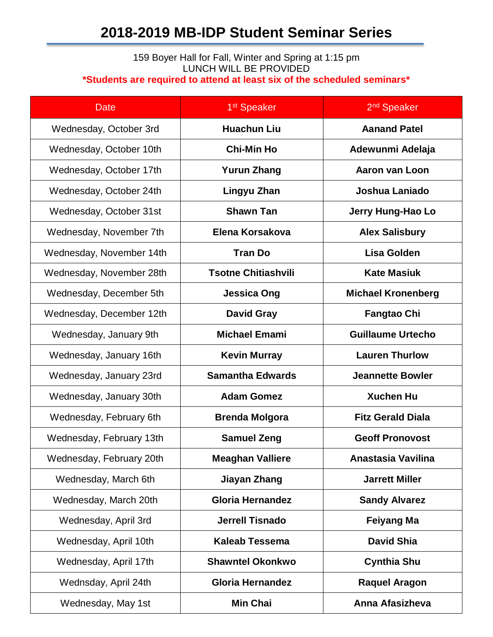## **2018-2019 MB-IDP Student Seminar Series**

## 159 Boyer Hall for Fall, Winter and Spring at 1:15 pm LUNCH WILL BE PROVIDED **\*Students are required to attend at least six of the scheduled seminars\***

| <b>Date</b>              | 1 <sup>st</sup> Speaker    | 2 <sup>nd</sup> Speaker   |
|--------------------------|----------------------------|---------------------------|
| Wednesday, October 3rd   | <b>Huachun Liu</b>         | <b>Aanand Patel</b>       |
| Wednesday, October 10th  | <b>Chi-Min Ho</b>          | Adewunmi Adelaja          |
| Wednesday, October 17th  | <b>Yurun Zhang</b>         | <b>Aaron van Loon</b>     |
| Wednesday, October 24th  | Lingyu Zhan                | <b>Joshua Laniado</b>     |
| Wednesday, October 31st  | <b>Shawn Tan</b>           | Jerry Hung-Hao Lo         |
| Wednesday, November 7th  | Elena Korsakova            | <b>Alex Salisbury</b>     |
| Wednesday, November 14th | <b>Tran Do</b>             | <b>Lisa Golden</b>        |
| Wednesday, November 28th | <b>Tsotne Chitiashvili</b> | <b>Kate Masiuk</b>        |
| Wednesday, December 5th  | <b>Jessica Ong</b>         | <b>Michael Kronenberg</b> |
| Wednesday, December 12th | <b>David Gray</b>          | <b>Fangtao Chi</b>        |
| Wednesday, January 9th   | <b>Michael Emami</b>       | <b>Guillaume Urtecho</b>  |
| Wednesday, January 16th  | <b>Kevin Murray</b>        | <b>Lauren Thurlow</b>     |
| Wednesday, January 23rd  | <b>Samantha Edwards</b>    | <b>Jeannette Bowler</b>   |
| Wednesday, January 30th  | <b>Adam Gomez</b>          | <b>Xuchen Hu</b>          |
| Wednesday, February 6th  | <b>Brenda Molgora</b>      | <b>Fitz Gerald Diala</b>  |
| Wednesday, February 13th | <b>Samuel Zeng</b>         | <b>Geoff Pronovost</b>    |
| Wednesday, February 20th | <b>Meaghan Valliere</b>    | Anastasia Vavilina        |
| Wednesday, March 6th     | <b>Jiayan Zhang</b>        | <b>Jarrett Miller</b>     |
| Wednesday, March 20th    | <b>Gloria Hernandez</b>    | <b>Sandy Alvarez</b>      |
| Wednesday, April 3rd     | <b>Jerrell Tisnado</b>     | <b>Feiyang Ma</b>         |
| Wednesday, April 10th    | <b>Kaleab Tessema</b>      | <b>David Shia</b>         |
| Wednesday, April 17th    | <b>Shawntel Okonkwo</b>    | <b>Cynthia Shu</b>        |
| Wednsday, April 24th     | <b>Gloria Hernandez</b>    | <b>Raquel Aragon</b>      |
| Wednesday, May 1st       | <b>Min Chai</b>            | Anna Afasizheva           |